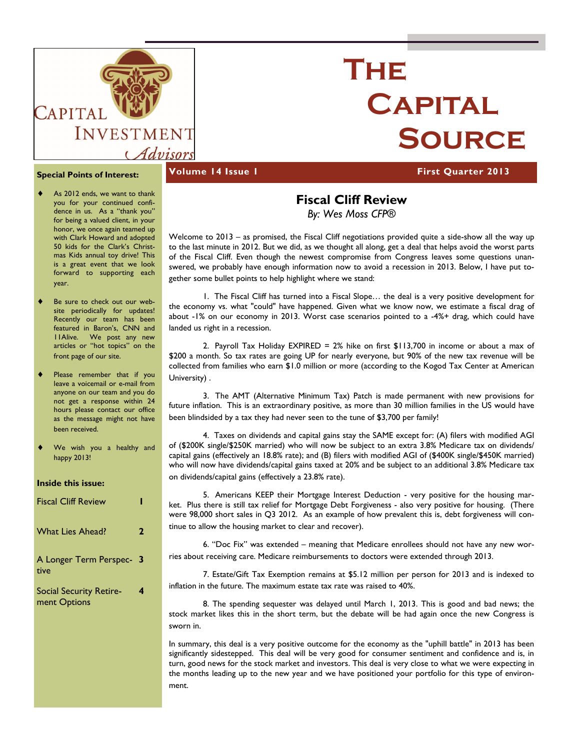

# **The Capital Source**

#### **Special Points of Interest:**

- As 2012 ends, we want to thank you for your continued confidence in us. As a "thank you" for being a valued client, in your honor, we once again teamed up with Clark Howard and adopted 50 kids for the Clark's Christmas Kids annual toy drive! This is a great event that we look forward to supporting each year.
- Be sure to check out our website periodically for updates! Recently our team has been featured in Baron's, CNN and 11Alive. We post any new articles or "hot topics" on the front page of our site.
- Please remember that if you leave a voicemail or e-mail from anyone on our team and you do not get a response within 24 hours please contact our office as the message might not have been received.
- We wish you a healthy and happy 2013!

#### **Inside this issue:**

| <b>Fiscal Cliff Review</b>                     |   |
|------------------------------------------------|---|
| <b>What Lies Ahead?</b>                        | 2 |
| A Longer Term Perspec- 3<br>tive               |   |
| <b>Social Security Retire-</b><br>ment Options | 4 |

#### **Volume 14 Issue 1 First Quarter 2013**

## **Fiscal Cliff Review**

*By: Wes Moss CFP®* 

Welcome to 2013 – as promised, the Fiscal Cliff negotiations provided quite a side-show all the way up to the last minute in 2012. But we did, as we thought all along, get a deal that helps avoid the worst parts of the Fiscal Cliff. Even though the newest compromise from Congress leaves some questions unanswered, we probably have enough information now to avoid a recession in 2013. Below, I have put together some bullet points to help highlight where we stand:

 1. The Fiscal Cliff has turned into a Fiscal Slope… the deal is a very positive development for the economy vs. what "could" have happened. Given what we know now, we estimate a fiscal drag of about -1% on our economy in 2013. Worst case scenarios pointed to a -4%+ drag, which could have landed us right in a recession.

2. Payroll Tax Holiday EXPIRED =  $2\%$  hike on first \$113,700 in income or about a max of \$200 a month. So tax rates are going UP for nearly everyone, but 90% of the new tax revenue will be collected from families who earn \$1.0 million or more (according to the Kogod Tax Center at American University) .

 3. The AMT (Alternative Minimum Tax) Patch is made permanent with new provisions for future inflation. This is an extraordinary positive, as more than 30 million families in the US would have been blindsided by a tax they had never seen to the tune of \$3,700 per family!

 4. Taxes on dividends and capital gains stay the SAME except for: (A) filers with modified AGI of (\$200K single/\$250K married) who will now be subject to an extra 3.8% Medicare tax on dividends/ capital gains (effectively an 18.8% rate); and (B) filers with modified AGI of (\$400K single/\$450K married) who will now have dividends/capital gains taxed at 20% and be subject to an additional 3.8% Medicare tax on dividends/capital gains (effectively a 23.8% rate).

 5. Americans KEEP their Mortgage Interest Deduction - very positive for the housing market. Plus there is still tax relief for Mortgage Debt Forgiveness - also very positive for housing. (There were 98,000 short sales in Q3 2012. As an example of how prevalent this is, debt forgiveness will continue to allow the housing market to clear and recover).

 6. "Doc Fix" was extended – meaning that Medicare enrollees should not have any new worries about receiving care. Medicare reimbursements to doctors were extended through 2013.

 7. Estate/Gift Tax Exemption remains at \$5.12 million per person for 2013 and is indexed to inflation in the future. The maximum estate tax rate was raised to 40%.

 8. The spending sequester was delayed until March 1, 2013. This is good and bad news; the stock market likes this in the short term, but the debate will be had again once the new Congress is sworn in.

In summary, this deal is a very positive outcome for the economy as the "uphill battle" in 2013 has been significantly sidestepped. This deal will be very good for consumer sentiment and confidence and is, in turn, good news for the stock market and investors. This deal is very close to what we were expecting in the months leading up to the new year and we have positioned your portfolio for this type of environment.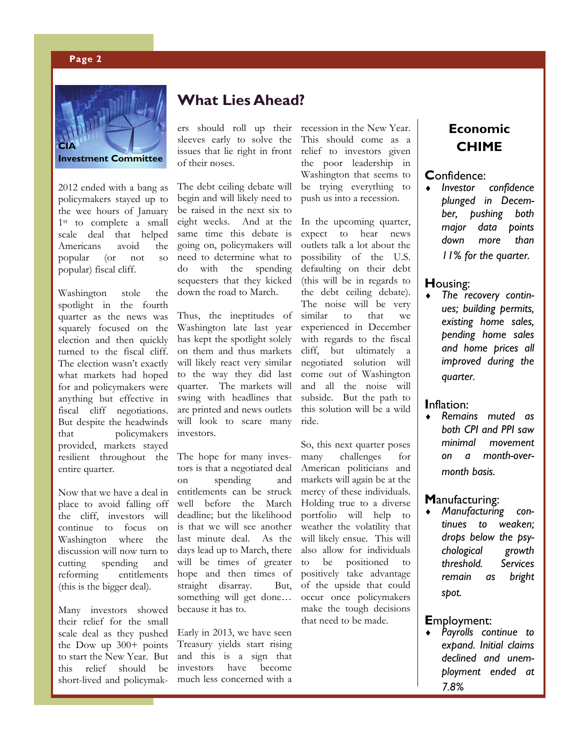#### **Page 2**



2012 ended with a bang as policymakers stayed up to the wee hours of January 1<sup>st</sup> to complete a small scale deal that helped Americans avoid the popular (or not so popular) fiscal cliff.

Washington stole the spotlight in the fourth quarter as the news was squarely focused on the election and then quickly turned to the fiscal cliff. The election wasn't exactly what markets had hoped for and policymakers were anything but effective in fiscal cliff negotiations. But despite the headwinds that policymakers provided, markets stayed resilient throughout the entire quarter.

Now that we have a deal in place to avoid falling off the cliff, investors will continue to focus on Washington where the discussion will now turn to cutting spending and reforming entitlements (this is the bigger deal).

Many investors showed their relief for the small scale deal as they pushed the Dow up 300+ points to start the New Year. But this relief should be short-lived and policymak-

### **What Lies Ahead?**

ers should roll up their sleeves early to solve the issues that lie right in front of their noses.

The debt ceiling debate will begin and will likely need to be raised in the next six to eight weeks. And at the same time this debate is going on, policymakers will need to determine what to do with the spending sequesters that they kicked down the road to March.

Thus, the ineptitudes of Washington late last year has kept the spotlight solely on them and thus markets will likely react very similar to the way they did last quarter. The markets will swing with headlines that are printed and news outlets will look to scare many investors.

The hope for many investors is that a negotiated deal on spending and entitlements can be struck well before the March deadline; but the likelihood is that we will see another last minute deal. As the days lead up to March, there will be times of greater hope and then times of straight disarray. But, something will get done… because it has to.

Early in 2013, we have seen Treasury yields start rising and this is a sign that investors have become much less concerned with a recession in the New Year. This should come as a relief to investors given the poor leadership in Washington that seems to be trying everything to push us into a recession.

In the upcoming quarter, expect to hear news outlets talk a lot about the possibility of the U.S. defaulting on their debt (this will be in regards to the debt ceiling debate). The noise will be very similar to that we experienced in December with regards to the fiscal cliff, but ultimately a negotiated solution will come out of Washington and all the noise will subside. But the path to this solution will be a wild ride.

So, this next quarter poses many challenges for American politicians and markets will again be at the mercy of these individuals. Holding true to a diverse portfolio will help to weather the volatility that will likely ensue. This will also allow for individuals to be positioned to positively take advantage of the upside that could occur once policymakers make the tough decisions that need to be made.

### **Economic CHIME**

## Confidence:

 *Investor confidence plunged in December, pushing both major data points down more than 11% for the quarter.* 

#### **H**ousing:

 *The recovery continues; building permits, existing home sales, pending home sales and home prices all improved during the quarter.* 

#### **I**nflation:

 *Remains muted as both CPI and PPI saw minimal movement on a month-overmonth basis.* 

#### **M**anufacturing:

 *Manufacturing continues to weaken; drops below the psychological growth threshold. Services remain as bright spot.* 

#### **E**mployment:

 *Payrolls continue to expand. Initial claims declined and unemployment ended at 7.8%*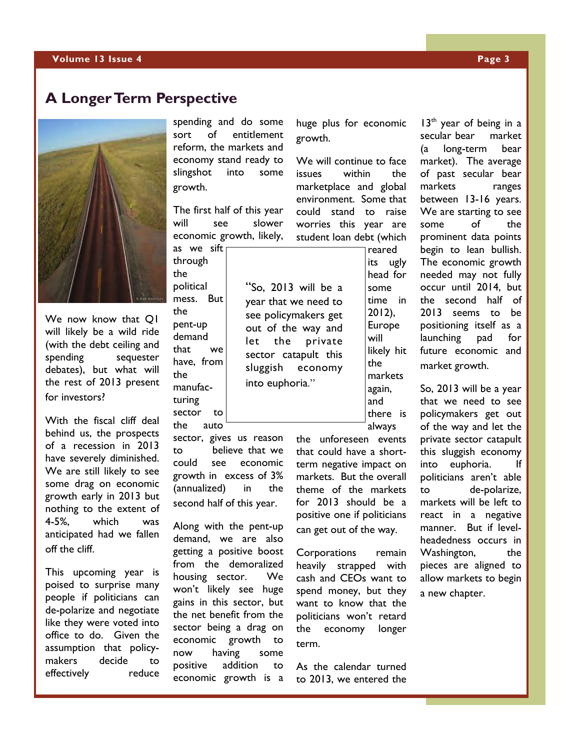### **A Longer Term Perspective**



We now know that Q1 will likely be a wild ride (with the debt ceiling and spending sequester debates), but what will the rest of 2013 present for investors?

With the fiscal cliff deal behind us, the prospects of a recession in 2013 have severely diminished. We are still likely to see some drag on economic growth early in 2013 but nothing to the extent of 4-5%, which was anticipated had we fallen off the cliff.

This upcoming year is poised to surprise many people if politicians can de-polarize and negotiate like they were voted into office to do. Given the assumption that policymakers decide to effectively reduce

spending and do some sort of entitlement reform, the markets and economy stand ready to slingshot into some growth.

The first half of this year will see slower economic growth, likely,

through the political mess. But the pent-up demand that we have, from the manufacturing sector to

the auto sector, gives us reason to believe that we could see economic growth in excess of 3% (annualized) in the second half of this year.

Along with the pent-up demand, we are also getting a positive boost from the demoralized housing sector. We won't likely see huge gains in this sector, but the net benefit from the sector being a drag on economic growth to now having some positive addition to economic growth is a

huge plus for economic growth.

We will continue to face issues within the marketplace and global environment. Some that could stand to raise worries this year are student loan debt (which

"So, 2013 will be a year that we need to see policymakers get out of the way and let the private sector catapult this sluggish economy

into euphoria."

reared its ugly head for some time in 2012), Europe will likely hit the markets again, and there is always

the unforeseen events that could have a shortterm negative impact on markets. But the overall theme of the markets for 2013 should be a positive one if politicians can get out of the way.

Corporations remain heavily strapped with cash and CEOs want to spend money, but they want to know that the politicians won't retard the economy longer term.

As the calendar turned to 2013, we entered the

secular bear market (a long-term bear market). The average of past secular bear markets ranges between 13-16 years. We are starting to see some of the prominent data points begin to lean bullish. The economic growth needed may not fully occur until 2014, but the second half of 2013 seems to be positioning itself as a launching pad for future economic and market growth.

 $13<sup>th</sup>$  year of being in a

So, 2013 will be a year that we need to see policymakers get out of the way and let the private sector catapult this sluggish economy into euphoria. If politicians aren't able to de-polarize, markets will be left to react in a negative manner. But if levelheadedness occurs in Washington, the pieces are aligned to allow markets to begin a new chapter.